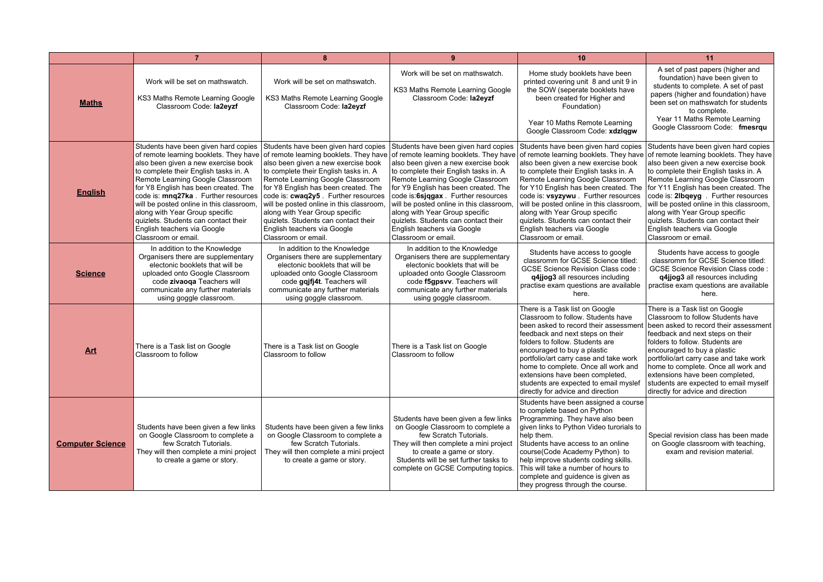|                         | $\overline{7}$                                                                                                                                                                                                                                                                                                                                                                                                       | $\mathbf{a}$                                                                                                                                                                                                                                                                                                                                                                                                                                                                                                                                | 9                                                                                                                                                                                                                                                                                                                                                                                                                  | 10                                                                                                                                                                                                                                                                                                                                                                                                                                                             | 11                                                                                                                                                                                                                                                                                                                                                                                                                                                              |
|-------------------------|----------------------------------------------------------------------------------------------------------------------------------------------------------------------------------------------------------------------------------------------------------------------------------------------------------------------------------------------------------------------------------------------------------------------|---------------------------------------------------------------------------------------------------------------------------------------------------------------------------------------------------------------------------------------------------------------------------------------------------------------------------------------------------------------------------------------------------------------------------------------------------------------------------------------------------------------------------------------------|--------------------------------------------------------------------------------------------------------------------------------------------------------------------------------------------------------------------------------------------------------------------------------------------------------------------------------------------------------------------------------------------------------------------|----------------------------------------------------------------------------------------------------------------------------------------------------------------------------------------------------------------------------------------------------------------------------------------------------------------------------------------------------------------------------------------------------------------------------------------------------------------|-----------------------------------------------------------------------------------------------------------------------------------------------------------------------------------------------------------------------------------------------------------------------------------------------------------------------------------------------------------------------------------------------------------------------------------------------------------------|
| <b>Maths</b>            | Work will be set on mathswatch.<br>KS3 Maths Remote Learning Google<br>Classroom Code: la2eyzf                                                                                                                                                                                                                                                                                                                       | Work will be set on mathswatch.<br>KS3 Maths Remote Learning Google<br>Classroom Code: la2eyzf                                                                                                                                                                                                                                                                                                                                                                                                                                              | Work will be set on mathswatch.<br>KS3 Maths Remote Learning Google<br>Classroom Code: la2eyzf                                                                                                                                                                                                                                                                                                                     | Home study booklets have been<br>printed covering unit 8 and unit 9 in<br>the SOW (seperate booklets have<br>been created for Higher and<br>Foundation)<br>Year 10 Maths Remote Learning<br>Google Classroom Code: xdzlggw                                                                                                                                                                                                                                     | A set of past papers (higher and<br>foundation) have been given to<br>students to complete. A set of past<br>papers (higher and foundation) have<br>been set on mathswatch for students<br>to complete.<br>Year 11 Maths Remote Learning<br>Google Classroom Code: fmesrqu                                                                                                                                                                                      |
| <b>English</b>          | Students have been given hard copies<br>also been given a new exercise book<br>to complete their English tasks in. A<br>Remote Learning Google Classroom<br>for Y8 English has been created. The<br>code is: mng27ka . Further resources<br>will be posted online in this classroom,<br>along with Year Group specific<br>quizlets. Students can contact their<br>English teachers via Google<br>Classroom or email. | Students have been given hard copies<br>of remote learning booklets. They have of remote learning booklets. They have of remote learning booklets. They have<br>also been given a new exercise book<br>to complete their English tasks in. A<br>Remote Learning Google Classroom<br>for Y8 English has been created. The<br>code is: cwaq2y5. Further resources<br>will be posted online in this classroom,<br>along with Year Group specific<br>quizlets. Students can contact their<br>English teachers via Google<br>Classroom or email. | Students have been given hard copies<br>also been given a new exercise book<br>to complete their English tasks in. A<br>Remote Learning Google Classroom<br>for Y9 English has been created. The<br>code is:6sjqgax. Further resources<br>will be posted online in this classroom,<br>along with Year Group specific<br>quizlets. Students can contact their<br>English teachers via Google<br>Classroom or email. | Students have been given hard copies<br>of remote learning booklets. They have<br>also been given a new exercise book<br>to complete their English tasks in. A<br>Remote Learning Google Classroom<br>for Y10 English has been created. The<br>code is: vsyzywu. Further resources<br>will be posted online in this classroom,<br>along with Year Group specific<br>quizlets. Students can contact their<br>English teachers via Google<br>Classroom or email. | Students have been given hard copies<br>of remote learning booklets. They have<br>also been given a new exercise book<br>to complete their English tasks in. A<br>Remote Learning Google Classroom<br>for Y11 English has been created. The<br>code is: 2lbgeyg . Further resources<br>will be posted online in this classroom,<br>along with Year Group specific<br>quizlets. Students can contact their<br>English teachers via Google<br>Classroom or email. |
| <b>Science</b>          | In addition to the Knowledge<br>Organisers there are supplementary<br>electonic booklets that will be<br>uploaded onto Google Classroom<br>code zivaoga Teachers will<br>communicate any further materials<br>using goggle classroom.                                                                                                                                                                                | In addition to the Knowledge<br>Organisers there are supplementary<br>electonic booklets that will be<br>uploaded onto Google Classroom<br>code gqjfj4t. Teachers will<br>communicate any further materials<br>using goggle classroom.                                                                                                                                                                                                                                                                                                      | In addition to the Knowledge<br>Organisers there are supplementary<br>electonic booklets that will be<br>uploaded onto Google Classroom<br>code f5qpsvv. Teachers will<br>communicate any further materials<br>using goggle classroom.                                                                                                                                                                             | Students have access to google<br>classromm for GCSE Science titled:<br><b>GCSE Science Revision Class code:</b><br>q4jjog3 all resources including<br>practise exam questions are available<br>here.                                                                                                                                                                                                                                                          | Students have access to google<br>classromm for GCSE Science titled:<br>GCSE Science Revision Class code:<br>q4jjog3 all resources including<br>practise exam questions are available<br>here.                                                                                                                                                                                                                                                                  |
| <b>Art</b>              | There is a Task list on Google<br>Classroom to follow                                                                                                                                                                                                                                                                                                                                                                | There is a Task list on Google<br>Classroom to follow                                                                                                                                                                                                                                                                                                                                                                                                                                                                                       | There is a Task list on Google<br>Classroom to follow                                                                                                                                                                                                                                                                                                                                                              | There is a Task list on Google<br>Classroom to follow. Students have<br>been asked to record their assessment<br>feedback and next steps on their<br>folders to follow. Students are<br>encouraged to buy a plastic<br>portfolio/art carry case and take work<br>home to complete. Once all work and<br>extensions have been completed.<br>students are expected to email myslef<br>directly for advice and direction                                          | There is a Task list on Google<br>Classroom to follow Students have<br>been asked to record their assessment<br>feedback and next steps on their<br>folders to follow. Students are<br>encouraged to buy a plastic<br>portfolio/art carry case and take work<br>home to complete. Once all work and<br>extensions have been completed.<br>students are expected to email myself<br>directly for advice and direction                                            |
| <b>Computer Science</b> | Students have been given a few links<br>on Google Classroom to complete a<br>few Scratch Tutorials.<br>They will then complete a mini project<br>to create a game or story.                                                                                                                                                                                                                                          | Students have been given a few links<br>on Google Classroom to complete a<br>few Scratch Tutorials.<br>They will then complete a mini project<br>to create a game or story.                                                                                                                                                                                                                                                                                                                                                                 | Students have been given a few links<br>on Google Classroom to complete a<br>few Scratch Tutorials.<br>They will then complete a mini project<br>to create a game or story.<br>Students will be set further tasks to<br>complete on GCSE Computing topics.                                                                                                                                                         | Students have been assigned a course<br>to complete based on Python<br>Programming. They have also been<br>given links to Python Video turorials to<br>help them.<br>Students have access to an online<br>course(Code Academy Python) to<br>help improve students coding skills.<br>This will take a number of hours to<br>complete and guidence is given as<br>they progress through the course.                                                              | Special revision class has been made<br>on Google classroom with teaching,<br>exam and revision material.                                                                                                                                                                                                                                                                                                                                                       |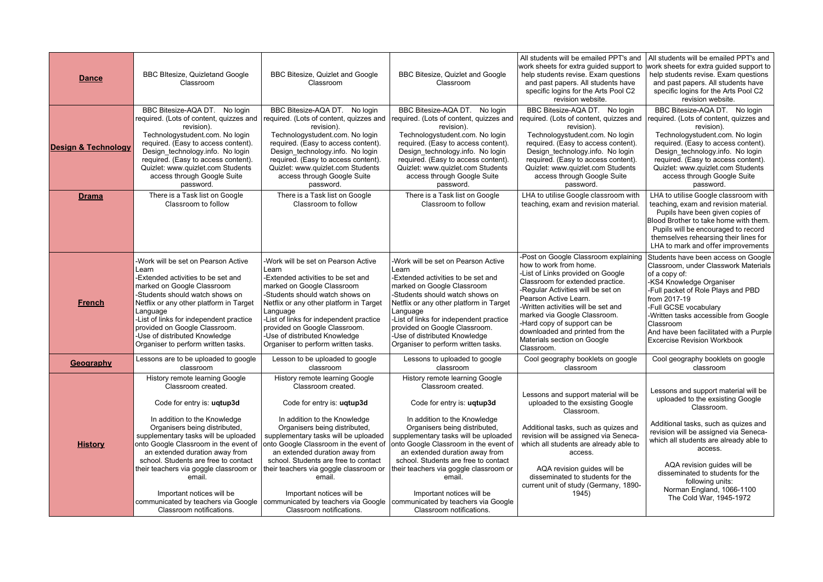| <b>Dance</b>                   | BBC BItesize, Quizletand Google<br>Classroom                                                                                                                                                                                                                                                                                                                                                                                                                                                             | BBC Bitesize, Quizlet and Google<br>Classroom                                                                                                                                                                                                                                                                                                                                                                               | BBC Bitesize, Quizlet and Google<br>Classroom                                                                                                                                                                                                                                                                                                                                                                                                                      | All students will be emailed PPT's and<br>work sheets for extra quided support to<br>help students revise. Exam questions<br>and past papers. All students have<br>specific logins for the Arts Pool C2<br>revision website.                                                                                                                                                                  | All students will be emailed PPT's and<br>work sheets for extra quided support to<br>help students revise. Exam questions<br>and past papers. All students have<br>specific logins for the Arts Pool C2<br>revision website.                                                                                                                                                |
|--------------------------------|----------------------------------------------------------------------------------------------------------------------------------------------------------------------------------------------------------------------------------------------------------------------------------------------------------------------------------------------------------------------------------------------------------------------------------------------------------------------------------------------------------|-----------------------------------------------------------------------------------------------------------------------------------------------------------------------------------------------------------------------------------------------------------------------------------------------------------------------------------------------------------------------------------------------------------------------------|--------------------------------------------------------------------------------------------------------------------------------------------------------------------------------------------------------------------------------------------------------------------------------------------------------------------------------------------------------------------------------------------------------------------------------------------------------------------|-----------------------------------------------------------------------------------------------------------------------------------------------------------------------------------------------------------------------------------------------------------------------------------------------------------------------------------------------------------------------------------------------|-----------------------------------------------------------------------------------------------------------------------------------------------------------------------------------------------------------------------------------------------------------------------------------------------------------------------------------------------------------------------------|
| <b>Design &amp; Technology</b> | BBC Bitesize-AQA DT. No login<br>required. (Lots of content, quizzes and<br>revision).<br>Technologystudent.com. No login<br>required. (Easy to access content).<br>Design_technology.info. No login<br>required. (Easy to access content).<br>Quizlet: www.quizlet.com Students<br>access through Google Suite<br>password.                                                                                                                                                                             | BBC Bitesize-AQA DT. No login<br>required. (Lots of content, quizzes and<br>revision).<br>Technologystudent.com. No login<br>required. (Easy to access content).<br>Design technology.info. No login<br>required. (Easy to access content).<br>Quizlet: www.quizlet.com Students<br>access through Google Suite<br>password.                                                                                                | BBC Bitesize-AQA DT. No login<br>required. (Lots of content, quizzes and<br>revision).<br>Technologystudent.com. No login<br>required. (Easy to access content).<br>Design technology.info. No login<br>required. (Easy to access content).<br>Quizlet: www.quizlet.com Students<br>access through Google Suite<br>password.                                                                                                                                       | BBC Bitesize-AQA DT. No login<br>required. (Lots of content, quizzes and<br>revision).<br>Technologystudent.com. No login<br>required. (Easy to access content).<br>Design technology.info. No login<br>required. (Easy to access content).<br>Quizlet: www.quizlet.com Students<br>access through Google Suite<br>password.                                                                  | BBC Bitesize-AQA DT. No login<br>required. (Lots of content, quizzes and<br>revision).<br>Technologystudent.com. No login<br>required. (Easy to access content).<br>Design technology.info. No login<br>required. (Easy to access content).<br>Quizlet: www.quizlet.com Students<br>access through Google Suite<br>password.                                                |
| <b>Drama</b>                   | There is a Task list on Google<br>Classroom to follow                                                                                                                                                                                                                                                                                                                                                                                                                                                    | There is a Task list on Google<br>Classroom to follow                                                                                                                                                                                                                                                                                                                                                                       | There is a Task list on Google<br>Classroom to follow                                                                                                                                                                                                                                                                                                                                                                                                              | LHA to utilise Google classroom with<br>teaching, exam and revision material.                                                                                                                                                                                                                                                                                                                 | LHA to utilise Google classroom with<br>teaching, exam and revision material.<br>Pupils have been given copies of<br>Blood Brother to take home with them.<br>Pupils will be encouraged to record<br>themselves rehearsing their lines for<br>LHA to mark and offer improvements                                                                                            |
| <b>French</b>                  | Work will be set on Pearson Active<br>Learn<br>Extended activities to be set and<br>marked on Google Classroom<br>-Students should watch shows on<br>Netflix or any other platform in Target<br>Language<br>-List of links for independent practice<br>provided on Google Classroom.<br>-Use of distributed Knowledge<br>Organiser to perform written tasks.                                                                                                                                             | Work will be set on Pearson Active<br>Learn<br>Extended activities to be set and<br>marked on Google Classroom<br>-Students should watch shows on<br>Netflix or any other platform in Target<br>Language<br>-List of links for independent practice<br>provided on Google Classroom.<br>-Use of distributed Knowledge<br>Organiser to perform written tasks.                                                                | -Work will be set on Pearson Active<br>Learn<br>-Extended activities to be set and<br>marked on Google Classroom<br>-Students should watch shows on<br>Netflix or any other platform in Target<br>Language<br>-List of links for independent practice<br>provided on Google Classroom.<br>-Use of distributed Knowledge<br>Organiser to perform written tasks.                                                                                                     | -Post on Google Classroom explaining<br>how to work from home.<br>-List of Links provided on Google<br>Classroom for extended practice.<br>-Reqular Activities will be set on<br>Pearson Active Learn.<br>-Written activities will be set and<br>marked via Google Classroom.<br>-Hard copy of support can be<br>downloaded and printed from the<br>Materials section on Google<br>Classroom. | Students have been access on Google<br>Classroom, under Classwork Materials<br>of a copy of:<br>-KS4 Knowledge Organiser<br>-Full packet of Role Plays and PBD<br>from 2017-19<br>-Full GCSE vocabulary<br>-Written tasks accessible from Google<br>Classroom<br>And have been facilitated with a Purple<br><b>Excercise Revision Workbook</b>                              |
| Geography                      | Lessons are to be uploaded to google<br>classroom                                                                                                                                                                                                                                                                                                                                                                                                                                                        | Lesson to be uploaded to google<br>classroom                                                                                                                                                                                                                                                                                                                                                                                | Lessons to uploaded to google<br>classroom                                                                                                                                                                                                                                                                                                                                                                                                                         | Cool geography booklets on google<br>classroom                                                                                                                                                                                                                                                                                                                                                | Cool geography booklets on google<br>classroom                                                                                                                                                                                                                                                                                                                              |
| <b>History</b>                 | History remote learning Google<br>Classroom created.<br>Code for entry is: ugtup3d<br>In addition to the Knowledge<br>Organisers being distributed,<br>supplementary tasks will be uploaded<br>onto Google Classroom in the event of<br>an extended duration away from<br>school. Students are free to contact<br>their teachers via goggle classroom or<br>email.<br>Important notices will be<br>communicated by teachers via Google   communicated by teachers via Google<br>Classroom notifications. | History remote learning Google<br>Classroom created.<br>Code for entry is: ugtup3d<br>In addition to the Knowledge<br>Organisers being distributed,<br>supplementary tasks will be uploaded<br>onto Google Classroom in the event of<br>an extended duration away from<br>school. Students are free to contact<br>their teachers via goggle classroom or<br>email.<br>Important notices will be<br>Classroom notifications. | History remote learning Google<br>Classroom created.<br>Code for entry is: ugtup3d<br>In addition to the Knowledge<br>Organisers being distributed,<br>supplementary tasks will be uploaded<br>onto Google Classroom in the event of<br>an extended duration away from<br>school. Students are free to contact<br>their teachers via goggle classroom or<br>email.<br>Important notices will be<br>communicated by teachers via Google<br>Classroom notifications. | Lessons and support material will be<br>uploaded to the exsisting Google<br>Classroom.<br>Additional tasks, such as quizes and<br>revision will be assigned via Seneca-<br>which all students are already able to<br>access.<br>AQA revision guides will be<br>disseminated to students for the<br>current unit of study (Germany, 1890-<br>1945)                                             | Lessons and support material will be<br>uploaded to the exsisting Google<br>Classroom.<br>Additional tasks, such as quizes and<br>revision will be assigned via Seneca-<br>which all students are already able to<br>access.<br>AQA revision guides will be<br>disseminated to students for the<br>following units:<br>Norman England, 1066-1100<br>The Cold War, 1945-1972 |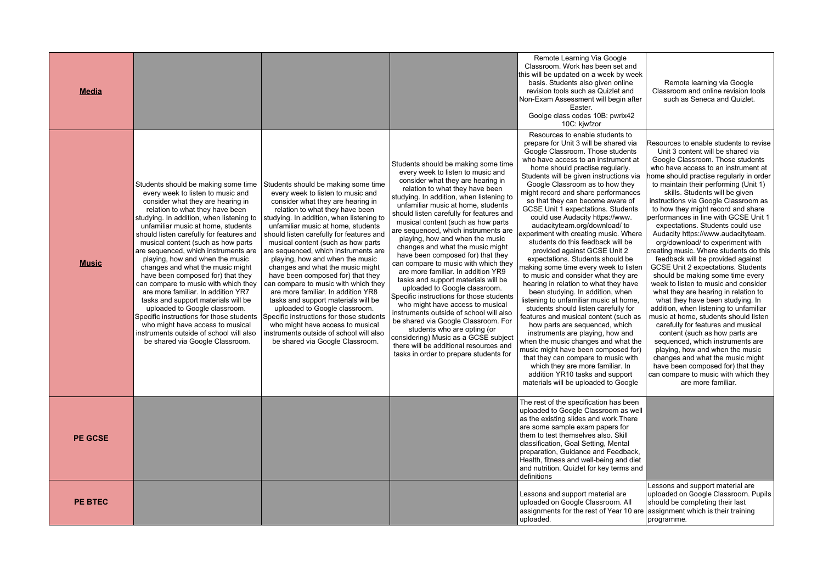| <b>Media</b>   |                                                                                                                                                                                                                                                                                                                                                                                                                                                                                                                                                                                                                                                                                                                                                                                              |                                                                                                                                                                                                                                                                                                                                                                                                                                                                                                                                                                                                                                                                                                                                                                                              |                                                                                                                                                                                                                                                                                                                                                                                                                                                                                                                                                                                                                                                                                                                                                                                                                                                                                                                                                             | Remote Learning Via Google<br>Classroom. Work has been set and<br>this will be updated on a week by week<br>basis. Students also given online<br>revision tools such as Quizlet and<br>Non-Exam Assessment will begin after<br>Easter.<br>Goolge class codes 10B: pwrix42<br>10C: kjwfzor                                                                                                                                                                                                                                                                                                                                                                                                                                                                                                                                                                                                                                                                                                                                                                                                                                                                                                                     | Remote learning via Google<br>Classroom and online revision tools<br>such as Seneca and Quizlet.                                                                                                                                                                                                                                                                                                                                                                                                                                                                                                                                                                                                                                                                                                                                                                                                                                                                                                                                                                                                                                                                        |
|----------------|----------------------------------------------------------------------------------------------------------------------------------------------------------------------------------------------------------------------------------------------------------------------------------------------------------------------------------------------------------------------------------------------------------------------------------------------------------------------------------------------------------------------------------------------------------------------------------------------------------------------------------------------------------------------------------------------------------------------------------------------------------------------------------------------|----------------------------------------------------------------------------------------------------------------------------------------------------------------------------------------------------------------------------------------------------------------------------------------------------------------------------------------------------------------------------------------------------------------------------------------------------------------------------------------------------------------------------------------------------------------------------------------------------------------------------------------------------------------------------------------------------------------------------------------------------------------------------------------------|-------------------------------------------------------------------------------------------------------------------------------------------------------------------------------------------------------------------------------------------------------------------------------------------------------------------------------------------------------------------------------------------------------------------------------------------------------------------------------------------------------------------------------------------------------------------------------------------------------------------------------------------------------------------------------------------------------------------------------------------------------------------------------------------------------------------------------------------------------------------------------------------------------------------------------------------------------------|---------------------------------------------------------------------------------------------------------------------------------------------------------------------------------------------------------------------------------------------------------------------------------------------------------------------------------------------------------------------------------------------------------------------------------------------------------------------------------------------------------------------------------------------------------------------------------------------------------------------------------------------------------------------------------------------------------------------------------------------------------------------------------------------------------------------------------------------------------------------------------------------------------------------------------------------------------------------------------------------------------------------------------------------------------------------------------------------------------------------------------------------------------------------------------------------------------------|-------------------------------------------------------------------------------------------------------------------------------------------------------------------------------------------------------------------------------------------------------------------------------------------------------------------------------------------------------------------------------------------------------------------------------------------------------------------------------------------------------------------------------------------------------------------------------------------------------------------------------------------------------------------------------------------------------------------------------------------------------------------------------------------------------------------------------------------------------------------------------------------------------------------------------------------------------------------------------------------------------------------------------------------------------------------------------------------------------------------------------------------------------------------------|
| <b>Music</b>   | Students should be making some time<br>every week to listen to music and<br>consider what they are hearing in<br>relation to what they have been<br>studying. In addition, when listening to<br>unfamiliar music at home, students<br>should listen carefully for features and<br>musical content (such as how parts<br>are sequenced, which instruments are<br>playing, how and when the music<br>changes and what the music might<br>have been composed for) that they<br>can compare to music with which they<br>are more familiar. In addition YR7<br>tasks and support materials will be<br>uploaded to Google classroom.<br>Specific instructions for those students<br>who might have access to musical<br>instruments outside of school will also<br>be shared via Google Classroom. | Students should be making some time<br>every week to listen to music and<br>consider what they are hearing in<br>relation to what they have been<br>studying. In addition, when listening to<br>unfamiliar music at home, students<br>should listen carefully for features and<br>musical content (such as how parts<br>are sequenced, which instruments are<br>playing, how and when the music<br>changes and what the music might<br>have been composed for) that they<br>can compare to music with which they<br>are more familiar. In addition YR8<br>tasks and support materials will be<br>uploaded to Google classroom.<br>Specific instructions for those students<br>who might have access to musical<br>instruments outside of school will also<br>be shared via Google Classroom. | Students should be making some time<br>every week to listen to music and<br>consider what they are hearing in<br>relation to what they have been<br>studying. In addition, when listening to<br>unfamiliar music at home, students<br>should listen carefully for features and<br>musical content (such as how parts<br>are sequenced, which instruments are<br>playing, how and when the music<br>changes and what the music might<br>have been composed for) that they<br>can compare to music with which they<br>are more familiar. In addition YR9<br>tasks and support materials will be<br>uploaded to Google classroom.<br>Specific instructions for those students<br>who might have access to musical<br>instruments outside of school will also<br>be shared via Google Classroom. For<br>students who are opting (or<br>considering) Music as a GCSE subject<br>there will be additional resources and<br>tasks in order to prepare students for | Resources to enable students to<br>prepare for Unit 3 will be shared via<br>Google Classroom. Those students<br>who have access to an instrument at<br>home should practise regularly.<br>Students will be given instructions via<br>Google Classroom as to how they<br>might record and share performances<br>so that they can become aware of<br>GCSE Unit 1 expectations. Students<br>could use Audacity https://www.<br>audacityteam.org/download/ to<br>experiment with creating music. Where<br>students do this feedback will be<br>provided against GCSE Unit 2<br>expectations. Students should be<br>making some time every week to listen<br>to music and consider what they are<br>hearing in relation to what they have<br>been studying. In addition, when<br>listening to unfamiliar music at home,<br>students should listen carefully for<br>features and musical content (such as<br>how parts are sequenced, which<br>instruments are playing, how and<br>when the music changes and what the<br>music might have been composed for)<br>that they can compare to music with<br>which they are more familiar. In<br>addition YR10 tasks and support<br>materials will be uploaded to Google | Resources to enable students to revise<br>Unit 3 content will be shared via<br>Google Classroom. Those students<br>who have access to an instrument at<br>home should practise regularly in order<br>to maintain their performing (Unit 1)<br>skills. Students will be given<br>instructions via Google Classroom as<br>to how they might record and share<br>performances in line with GCSE Unit 1<br>expectations. Students could use<br>Audacity https://www.audacityteam.<br>org/download/ to experiment with<br>creating music. Where students do this<br>feedback will be provided against<br>GCSE Unit 2 expectations. Students<br>should be making some time every<br>week to listen to music and consider<br>what they are hearing in relation to<br>what they have been studying. In<br>addition, when listening to unfamiliar<br>music at home, students should listen<br>carefully for features and musical<br>content (such as how parts are<br>sequenced, which instruments are<br>playing, how and when the music<br>changes and what the music might<br>have been composed for) that they<br>can compare to music with which they<br>are more familiar. |
| <b>PE GCSE</b> |                                                                                                                                                                                                                                                                                                                                                                                                                                                                                                                                                                                                                                                                                                                                                                                              |                                                                                                                                                                                                                                                                                                                                                                                                                                                                                                                                                                                                                                                                                                                                                                                              |                                                                                                                                                                                                                                                                                                                                                                                                                                                                                                                                                                                                                                                                                                                                                                                                                                                                                                                                                             | The rest of the specification has been<br>uploaded to Google Classroom as well<br>as the existing slides and work. There<br>are some sample exam papers for<br>them to test themselves also. Skill<br>classification, Goal Setting, Mental<br>preparation, Guidance and Feedback,<br>Health, fitness and well-being and diet<br>and nutrition. Quizlet for key terms and<br>definitions                                                                                                                                                                                                                                                                                                                                                                                                                                                                                                                                                                                                                                                                                                                                                                                                                       |                                                                                                                                                                                                                                                                                                                                                                                                                                                                                                                                                                                                                                                                                                                                                                                                                                                                                                                                                                                                                                                                                                                                                                         |
| <b>PE BTEC</b> |                                                                                                                                                                                                                                                                                                                                                                                                                                                                                                                                                                                                                                                                                                                                                                                              |                                                                                                                                                                                                                                                                                                                                                                                                                                                                                                                                                                                                                                                                                                                                                                                              |                                                                                                                                                                                                                                                                                                                                                                                                                                                                                                                                                                                                                                                                                                                                                                                                                                                                                                                                                             | Lessons and support material are<br>uploaded on Google Classroom. All<br>assignments for the rest of Year 10 are<br>uploaded.                                                                                                                                                                                                                                                                                                                                                                                                                                                                                                                                                                                                                                                                                                                                                                                                                                                                                                                                                                                                                                                                                 | Lessons and support material are<br>uploaded on Google Classroom. Pupils<br>should be completing their last<br>assignment which is their training<br>programme.                                                                                                                                                                                                                                                                                                                                                                                                                                                                                                                                                                                                                                                                                                                                                                                                                                                                                                                                                                                                         |